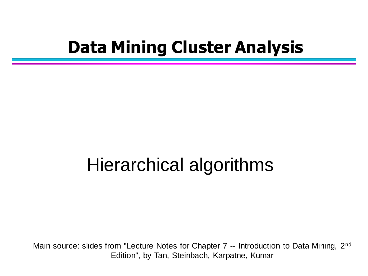### **Data Mining Cluster Analysis**

### Hierarchical algorithms

Main source: slides from "Lecture Notes for Chapter 7 -- Introduction to Data Mining, 2<sup>nd</sup> Edition", by Tan, Steinbach, Karpatne, Kumar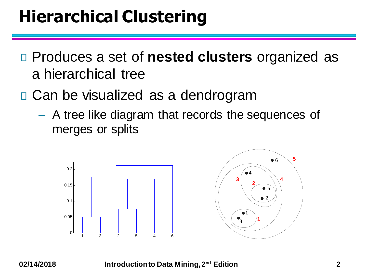## **Hierarchical Clustering**

- Produces a set of **nested clusters** organized as a hierarchical tree
- □ Can be visualized as a dendrogram
	- A tree like diagram that records the sequences of merges or splits



**02/14/2018 Introduction to Data Mining, 2nd Edition 2**

**5**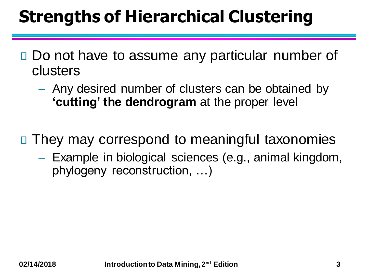## **Strengths of Hierarchical Clustering**

- □ Do not have to assume any particular number of clusters
	- Any desired number of clusters can be obtained by **'cutting' the dendrogram** at the proper level
- □ They may correspond to meaningful taxonomies
	- Example in biological sciences (e.g., animal kingdom, phylogeny reconstruction, …)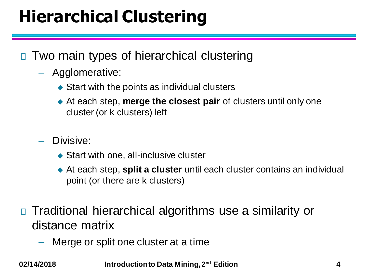## **Hierarchical Clustering**

- □ Two main types of hierarchical clustering
	- Agglomerative:
		- $\triangle$  Start with the points as individual clusters
		- ◆ At each step, **merge the closest pair** of clusters until only one cluster (or k clusters) left
	- Divisive:
		- ◆ Start with one, all-inclusive cluster
		- ◆ At each step, **split a cluster** until each cluster contains an individual point (or there are k clusters)
- Traditional hierarchical algorithms use a similarity or distance matrix
	- Merge or split one cluster at a time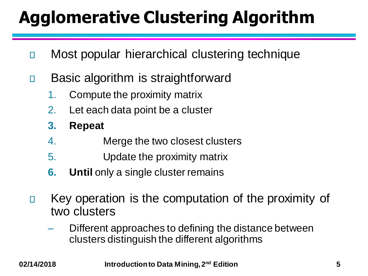## **Agglomerative Clustering Algorithm**

- Most popular hierarchical clustering technique П
- Basic algorithm is straightforward  $\Box$ 
	- 1. Compute the proximity matrix
	- 2. Let each data point be a cluster
	- **3. Repeat**
	- 4. Merge the two closest clusters
	- 5. Update the proximity matrix
	- **6. Until** only a single cluster remains
- Key operation is the computation of the proximity of  $\Box$ two clusters
	- Different approaches to defining the distance between clusters distinguish the different algorithms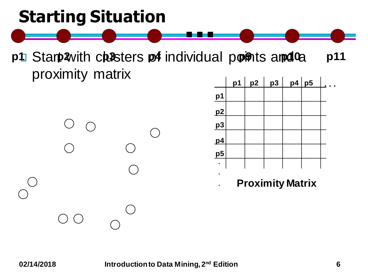### **Starting Situation**

p1 Start with checters of individual points and to p11 proximity matrix

**...**





**. Proximity Matrix**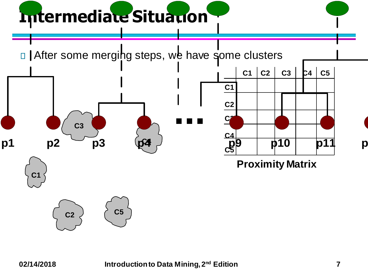# **Intermediate Situation**

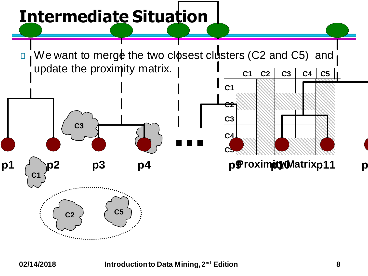## **Intermediate Situation**



**C1**

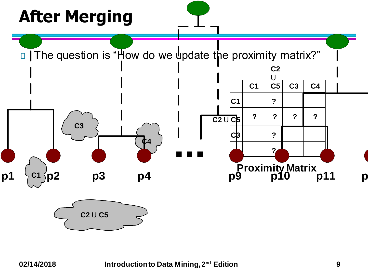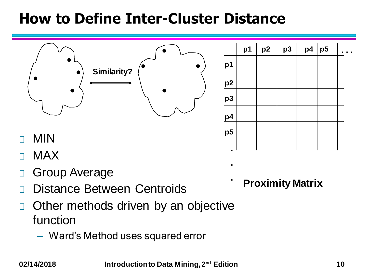#### **How to Define Inter-Cluster Distance**



- MAX П
- Group Average П
- Distance Between Centroids П
- Other methods driven by an objective  $\Box$ function
	- Ward's Method uses squared error

**Proximity Matrix**

**.**

**.**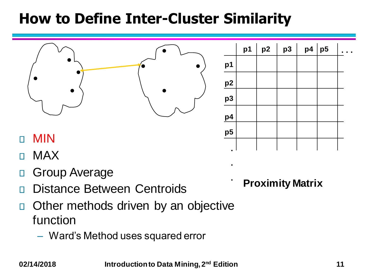

- MAX П
- Group Average П
- Distance Between Centroids П
- Other methods driven by an objective  $\Box$ function
	- Ward's Method uses squared error

**Proximity Matrix**

**.**

**.**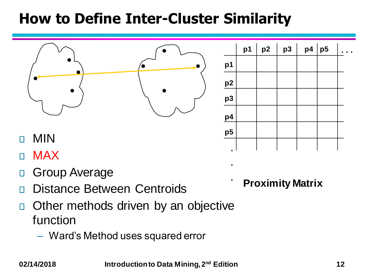

**.**

**.**

- MIN П
- MAX П
- Group Average П
- Distance Between Centroids П
- Other methods driven by an objective  $\Box$ function
	- Ward's Method uses squared error

**Proximity Matrix**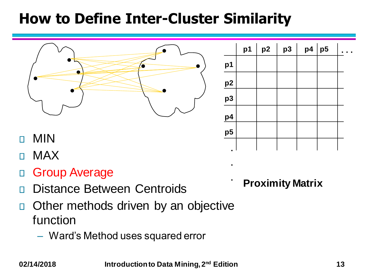

|                | p1 | p2 | p <sub>3</sub> | p4   p5 |  |
|----------------|----|----|----------------|---------|--|
| p1             |    |    |                |         |  |
| $\frac{p2}{2}$ |    |    |                |         |  |
| p <sub>3</sub> |    |    |                |         |  |
| p4             |    |    |                |         |  |
| p <sub>5</sub> |    |    |                |         |  |
| $\blacksquare$ |    |    |                |         |  |

- MIN П
- MAX П
- Group Average  $\Box$
- Distance Between Centroids П
- Other methods driven by an objective  $\Box$ function
	- Ward's Method uses squared error

**Proximity Matrix**

**.**

**.**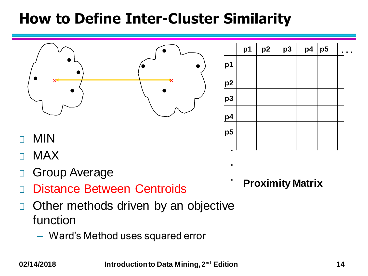

- MAX П
- Group Average П
- Distance Between Centroids П
- Other methods driven by an objective  $\Box$ function
	- Ward's Method uses squared error

**Proximity Matrix**

**.**

**.**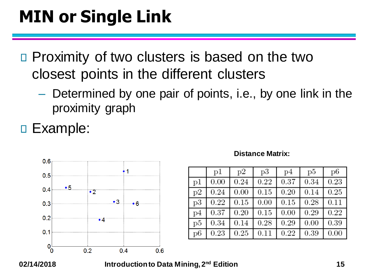## **MIN or Single Link**

- □ Proximity of two clusters is based on the two closest points in the different clusters
	- Determined by one pair of points, i.e., by one link in the proximity graph
- □ Example:



#### **Distance Matrix:**

|    | p1   | p2   | p3   | p4   | p5   | p6   |
|----|------|------|------|------|------|------|
| p1 | 0.00 | 0.24 | 0.22 | 0.37 | 0.34 | 0.23 |
| p2 | 0.24 | 0.00 | 0.15 | 0.20 | 0.14 | 0.25 |
| p3 | 0.22 | 0.15 | 0.00 | 0.15 | 0.28 | 0.11 |
| p4 | 0.37 | 0.20 | 0.15 | 0.00 | 0.29 | 0.22 |
| p5 | 0.34 | 0.14 | 0.28 | 0.29 | 0.00 | 0.39 |
| p6 | 0.23 | 0.25 | 0.11 | 0.22 | 0.39 | 0.00 |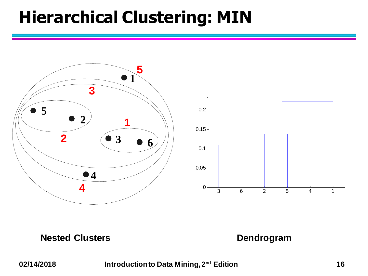### **Hierarchical Clustering: MIN**



#### **Nested Clusters Dendrogram**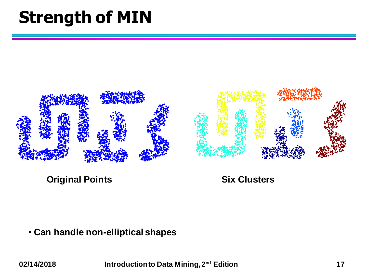### **Strength of MIN**



**Original Points Six Clusters**

• **Can handle non-elliptical shapes**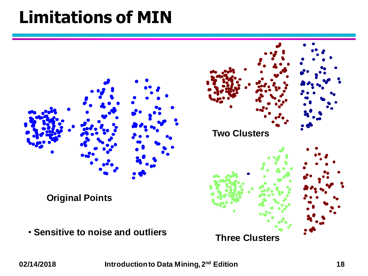### **Limitations of MIN**

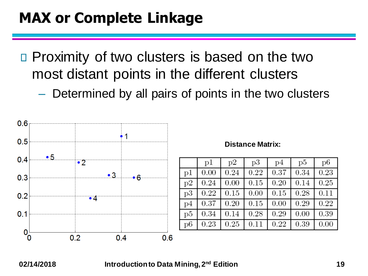### **MAX or Complete Linkage**

- □ Proximity of two clusters is based on the two most distant points in the different clusters
	- Determined by all pairs of points in the two clusters



#### **Distance Matrix:**

|    | p1   | p2   | p3   | p4   | p5   | p6   |
|----|------|------|------|------|------|------|
| p1 | 0.00 | 0.24 | 0.22 | 0.37 | 0.34 | 0.23 |
| p2 | 0.24 | 0.00 | 0.15 | 0.20 | 0.14 | 0.25 |
| p3 | 0.22 | 0.15 | 0.00 | 0.15 | 0.28 | 0.11 |
| p4 | 0.37 | 0.20 | 0.15 | 0.00 | 0.29 | 0.22 |
| p5 | 0.34 | 0.14 | 0.28 | 0.29 | 0.00 | 0.39 |
| p6 | 0.23 | 0.25 | 0.11 | 0.22 | 0.39 | 0.00 |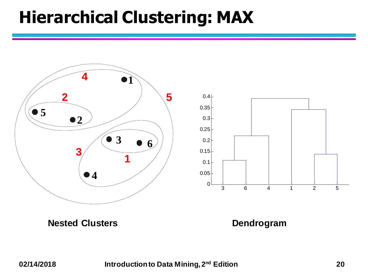### **Hierarchical Clustering: MAX**



**Nested Clusters Dendrogram**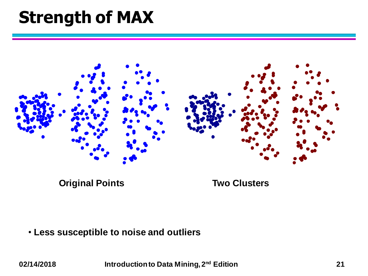### **Strength of MAX**



**Original Points Two Clusters**

• **Less susceptible to noise and outliers**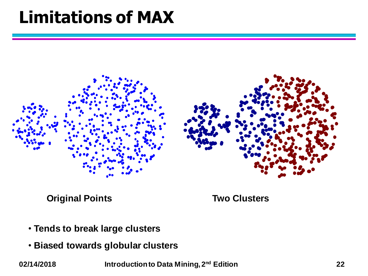### **Limitations of MAX**



**Original Points Two Clusters**

- **Tends to break large clusters**
- **Biased towards globular clusters**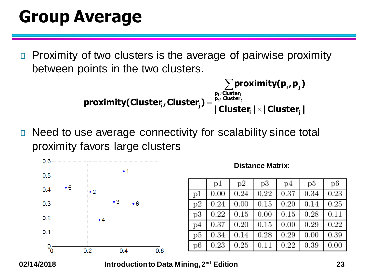### **Group Average**

Proximity of two clusters is the average of pairwise proximity  $\Box$ between points in the two clusters.

$$
\sum_{p_i \in Cluster_i} \text{proximity}(p_i, p_j)
$$
\n
$$
\text{proximity}(Cluster_i, Cluster_j) = \frac{\sum_{p_i \in Cluster_i} \text{proximity}(p_i, p_j)}{|Cluster_i| \times | Cluster_j|}
$$

Need to use average connectivity for scalability since total  $\Box$ proximity favors large clusters



#### **Distance Matrix:**

|    | p1   | p2   | p3   | p4   | p5   | p6   |
|----|------|------|------|------|------|------|
| p1 | 0.00 | 0.24 | 0.22 | 0.37 | 0.34 | 0.23 |
| p2 | 0.24 | 0.00 | 0.15 | 0.20 | 0.14 | 0.25 |
| p3 | 0.22 | 0.15 | 0.00 | 0.15 | 0.28 | 0.11 |
| p4 | 0.37 | 0.20 | 0.15 | 0.00 | 0.29 | 0.22 |
| p5 | 0.34 | 0.14 | 0.28 | 0.29 | 0.00 | 0.39 |
| p6 | 0.23 | 0.25 | 0.11 | 0.22 | 0.39 | 0.00 |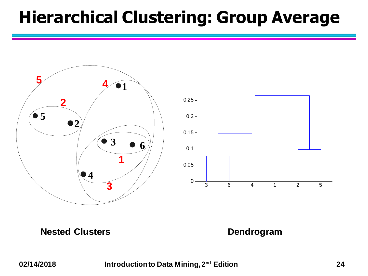### **Hierarchical Clustering: Group Average**



**Nested Clusters Dendrogram**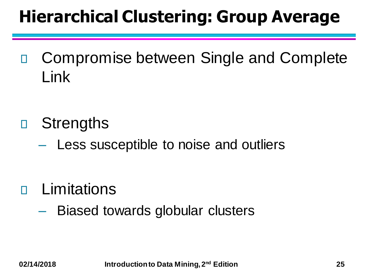## **Hierarchical Clustering: Group Average**

Compromise between Single and Complete  $\Box$ Link

- **Strengths**  $\Box$ 
	- Less susceptible to noise and outliers
- **n** Limitations
	- Biased towards globular clusters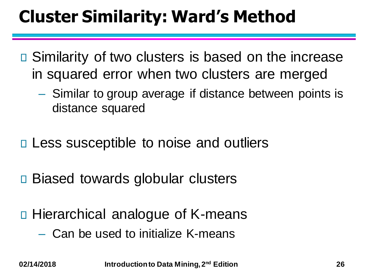## **Cluster Similarity: Ward's Method**

- □ Similarity of two clusters is based on the increase in squared error when two clusters are merged
	- Similar to group average if distance between points is distance squared
- □ Less susceptible to noise and outliers
- □ Biased towards globular clusters
- □ Hierarchical analogue of K-means
	- Can be used to initialize K-means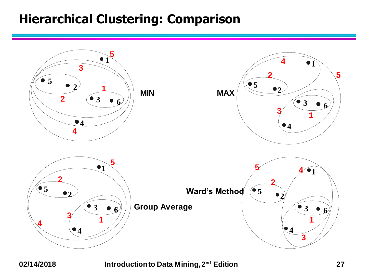#### **Hierarchical Clustering: Comparison**

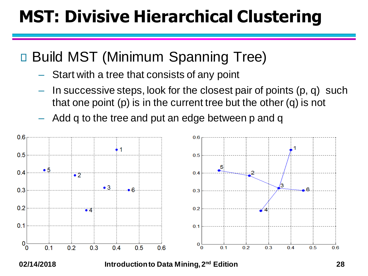## **MST: Divisive Hierarchical Clustering**

#### □ Build MST (Minimum Spanning Tree)

- Start with a tree that consists of any point
- In successive steps, look for the closest pair of points (p, q) such that one point (p) is in the current tree but the other (q) is not
- Add q to the tree and put an edge between p and q

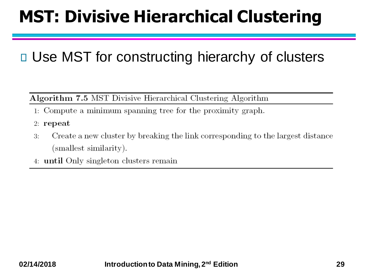## **MST: Divisive Hierarchical Clustering**

#### □ Use MST for constructing hierarchy of clusters

#### Algorithm 7.5 MST Divisive Hierarchical Clustering Algorithm

- 1. Compute a minimum spanning tree for the proximity graph.
- $2:$  repeat
- Create a new cluster by breaking the link corresponding to the largest distance  $3:$ (smallest similarity).
- 4: **until** Only singleton clusters remain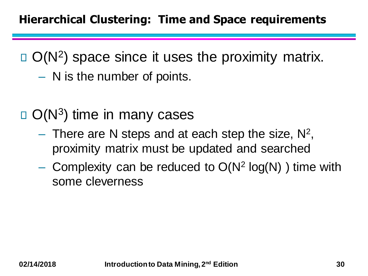O(N<sup>2</sup> ) space since it uses the proximity matrix. – N is the number of points.

- O(N<sup>3</sup> ) time in many cases
	- $-$  There are N steps and at each step the size,  $N^2$ , proximity matrix must be updated and searched
	- Complexity can be reduced to  $O(N^2 \log(N))$  time with some cleverness